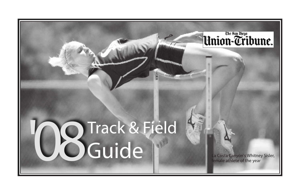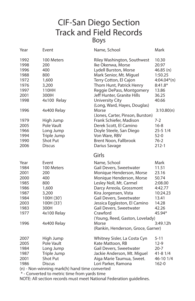### CIF-San Diego Section Track and Field Records Boys

| Year                                                                                         | Event                                                                                                                        | Name, School                                                                                                                                                                                                                                                                                                                                                        | Mark                                                                                                               |
|----------------------------------------------------------------------------------------------|------------------------------------------------------------------------------------------------------------------------------|---------------------------------------------------------------------------------------------------------------------------------------------------------------------------------------------------------------------------------------------------------------------------------------------------------------------------------------------------------------------|--------------------------------------------------------------------------------------------------------------------|
| 1992<br>1998<br>1996<br>1988<br>1972<br>1976<br>1997<br>2001<br>1998<br>1996                 | 100 Meters<br>200<br>400<br>800<br>1,600<br>3,200<br>110HH<br>300IH<br>4x100 Relay<br>4x400 Relay                            | Riley Washington, Southwest<br>Ike Okenwa, Morse<br>Lydell Burston, Morse<br>Mark Senior, Mt. Miguel<br>Terry Cotton, El Cajon<br>Thom Hunt, Patrick Henry<br>Reggie DePass, Montgomery<br>Jeff Hunter, Granite Hills<br><b>University City</b><br>(Long, Ward, Hayes, Douglas)<br>Morse                                                                            | 10.30<br>20.97<br>$46.85$ (n)<br>1:50.25<br>$4:04.04*(n)$<br>$8:41.8*$<br>13.86<br>36.25<br>40.66<br>3:10.80(n)    |
| 1979<br>2005<br>1966<br>1994<br>1990<br>2006                                                 | High Jump<br>Pole Vault<br>Long Jump<br>Triple Jump<br><b>Shot Put</b><br><b>Discus</b>                                      | (Jones, Carter, Pinson, Burston)<br>Frank Schiefer, Madison<br>Derek Scott, El Camino<br>Doyle Steele, San Diego<br>Von Ware, RBV<br>Brent Noon, Fallbrook<br>Darius Savage                                                                                                                                                                                         | $7-2$<br>$16 - 8$<br>$25 - 51/4$<br>$52-0$<br>$76-2$<br>$212 - 1$                                                  |
|                                                                                              |                                                                                                                              | Girls                                                                                                                                                                                                                                                                                                                                                               |                                                                                                                    |
| Year<br>1984<br>2001<br>2000<br>1985<br>1986<br>1987<br>1984<br>2003<br>1983<br>1977<br>1996 | Event<br>100 Meters<br>200<br>400<br>800<br>1,600<br>3,200<br>100H (30')<br>100H (33')<br>300H<br>4x100 Relay<br>4x400 Relay | Name, School<br>Gail Devers, Sweetwater<br>Monique Henderson, Morse<br>Monique Henderson, Morse<br>Lesley Noll, Mt. Carmel<br>Darcy Arreola, Grossmont<br>Kira Jorgensen, Vista<br>Gail Devers, Sweetwater<br>Jessica Eggleston, El Camino<br>Gail Devers, Sweetwater<br>Crawford<br>(Young, Reed, Gaston, Lovelady)<br>Morse<br>(Rankin, Henderson, Groce, Garner) | Mark<br>11.51<br>23.16<br>50.74<br>2:08.00<br>4:42.77<br>10:24.23<br>13.41<br>14.28<br>42.26<br>45.94*<br>3:49.12h |
| 2007<br>2005<br>1984<br>1987<br>2001<br>1986                                                 | High Jump<br>Pole Vault<br>Long Jump<br>Triple Jump<br><b>Shot Put</b><br><b>Discus</b><br>$1/1$ $1$                         | Whitney Sisler, La Costa Cyn<br>Kate Mattoon, RB<br>Gail Devers, Sweetwater<br>Jackie Anderson, Mt. Miguel<br>Aiga Marie Taumua, Sweet.<br>Lori Parker, Ramona                                                                                                                                                                                                      | $5 - 11$<br>$12-9$<br>$20 - 7$<br>$41 - 81/4$<br>46-10 1/4<br>$162 - 0$                                            |

(n) - Non-winning mark(h) hand time converted

\* - Converted to metric time from yards time

NOTE: All section records must meet National Federation guidelines.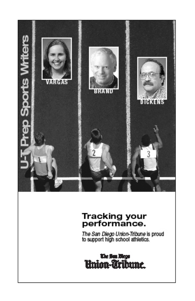

# Tracking your<br>performance.

The San Diego Union-Tribune is proud<br>to support high school athletics.

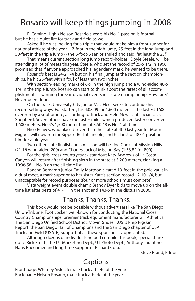### Rosario will keep things jumping in 2008

 El Camino High's Nelson Rosario swears his No. 1 passion is football but he has a quiet fire for track and field as well.

 Asked if he was looking for a triple that would make him a front-runner for national athlete of the year -- 7-foot in the high jump, 25-feet in the long jump and 50-feet in the triple jump -- the 6-foot-6 senior smiled and said, "at least the 25."

 That means current section long jump record-holder , Doyle Steele, will be attending a lot of meets this year. Steele, who set the record of 25-5 1/2 in 1966, promised that if anyone approached his legendary mark, he wanted to be there.

 Rosario's best is 24-2 1/4 but on his final jump at the section championships, he hit 25-feet with a foul of less than two inches.

 With section-leading marks of 6-9 in the high jump and a wind-aided 48-5 1/4 in the triple jump, Rosario can start to think about the rarest of all accomplishments -- winning three individual events in a state championhip. How rare? Never been done.

 On the track, University City junior Mac Fleet seeks to continue his record-setting ways. For starters, his 4:08.09 for 1,600 meters is the fastest 1600 ever run by a sophomore, according to Track and Field News statistician Jack Shepherd. Seven others have run faster miles which produced faster converted 1,600 meters. Fleet's 1,500 meter time of 3:50.48 is No. 4 all-time.

 Nico Reaves, who placed seventh in the state at 400 last year for Mount Miguel, will now run for Kipperr Bell at Lincoln, and his best of 48.01 positions him for a big year.

 Two other state finalists on a mission will be Joe Cooks of Mission Hills (21.16 wind-aided 200) and Charles Jock of Mission Bay (1:53.84 for 800).

 For the girls, cross-country/track standout Katy Andrews of La Costa Canyon will return after finishing sixth in the state at 3,200 meters, clocking a 10:36.58 -- No. 8 on the all-time list.

 Rancho Bernardo junior Emily Mattoon cleared 13-feet in the pole vault in a dual meet, a mark superior to her sister Kate's section record 12-10 1/4, but unacceptable for record purposes (four or more schools must compete).

 Vista weight event double champ Brandy Dyer bids to move up on the alltime list after bests of 41-11 in the shot and 143-5 in the discus in 2006.

#### Thanks, Thanks, Thanks.

 This book would not be possible without advertisers like The San Diego Union-Tribune; Foot Locker, well-known for conducting the National Cross Country Championships; premier track equipment manufacturer Gill Athletics; The San Diego Unified School District; Movin' Shoes; KUSI's Prep Pigskin Report; the San Diego Hall of Champions and the San Diego chapter of USA Track and Field (USATF) Support of all these sponsors is appreciated.

 Although dozens of individuals helped compile this book, special thanks go to Rick Smith, the UT Marketing Dept., UT Photo Dept., Anthony Tarantino, Hans Ruegamer and long-time supporter Richard Cota.

-- Steve Brand, Editor

#### Captions

Front page: Whitney Sisler, female track athlete of the year Back page: Nelson Rosario, male track athlete of the year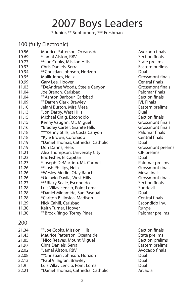# 2007 Boys Leaders

\* Junior, \*\* Sophomore, \*\*\* Freshman

#### 100 (fully Electronic)

| 10.56 | Maurice Patterson, Oceanside       | Avocado           |
|-------|------------------------------------|-------------------|
| 10.69 | *Jamal Alston, RBV                 | Section f         |
| 10.77 | **Joe Cooks, Mission Hills         | State pre         |
| 10.93 | Chris Daniels, Serra               | Eastern p         |
| 10.94 | **Christian Johnson, Horizon       | Dual              |
| 10.95 | Malik Jones, Helix                 | Grossmo           |
| 10.99 | Gary Lee, Hoover                   | Central f         |
| 11.03 | *DeAndrae Woods, Steele Canyon     | Grossmo           |
| 11.04 | Joe Branch, Carlsbad               | Palomar           |
| 11.04 | **Ashton Barbour, Carlsbad         | Section f         |
| 11.09 | **Darren Clark, Brawley            | <b>IVL Finals</b> |
| 11.10 | Jelani Burton, Mira Mesa           | Eastern r         |
| 11.13 | *Jon Darby, West Hills             | Dual              |
| 11.15 | Michael Craig, Escondido           | Section f         |
| 11.15 | Kenny Vaughn, Mt. Miguel           | Grossmo           |
| 11.16 | *Bradley Carter, Granite Hills     | Grossmo           |
| 11.18 | *** Kenny Stills, La Costa Canyon  | Palomar           |
| 11.18 | *Kyle Brown, Coronado              | Central f         |
| 11.19 | *Daniel Thomas, Cathedral Catholic | Dual              |
| 11.19 | Don Danns, Helix                   | Grossmo           |
| 11.21 | Alex Thompson, University City     | CIF prelin        |
| 11.23 | Eric Fisher, El Capitan            | Dual              |
| 11.23 | *Joseph DeMartino, Mt. Carmel      | Palomar           |
| 11.26 | **Josh Phillips, Helix             | Grossmo           |
| 11.26 | *Wesley Merlin, Otay Ranch         | Mesa fin          |
| 11.26 | *Octavio Davila, West Hills        | Grossmo           |
| 11.27 | ***Ricky Seale, Escondido          | Section f         |
| 11.28 | Luis Villavicencio, Point Loma     | Sundevil          |
| 11.28 | *Daniel Minamide, San Pasqual      | Dual              |
| 11.28 | *Carlton Billinslea, Madison       | Central f         |
| 11.29 | Nick Cahill, Carlsbad              | Escondic          |
| 11.30 | Keith Turner, Hoover               | Runge             |
| 11.30 | **Brock Ringo, Torrey Pines        | Palomar           |
| 200   |                                    |                   |
| 21.34 | **Joe Cooks, Mission Hills         | Section f         |
| 21.43 | Maurice Patterson, Oceanside       | State pre         |
| 21.85 | *Nico Reaves, Mount Miguel         | Section p         |
| 21.97 | Chris Daniels, Serra               | Eastern p         |
| 22.02 | *Jamal Alston, RBV                 | Avocado           |
| 22.08 | **Christian Johnson, Horizon       | Dual              |
| 22.13 | *Paul Villagran, Brawley           | Dual              |
| 21.9  | Luis Villavicencio, Point Loma     | Dual              |
| 22.21 | *Daniel Thomas, Cathedral Catholic | Arcadia           |
|       |                                    |                   |

Avocado finals **Section finals** State prelims Eastern prelims<br>Dual Grossmont finals Central finals Grossmont finals Palomar finals Section finals **IVL Finals** Eastern prelims<br>Dual Section finals Grossmont finals Grossmont finals Palomar finals Central finals<br>Dual Grossmont prelims CIF prelims<br>Dual Palomar prelims Grossmont finals Mesa finals Grossmont finals Section finals<br>Sundevil Central finals Escondido Inv. Palomar prelims

Section finals State prelims Section prelims Eastern prelims Avocado finals<br>Dual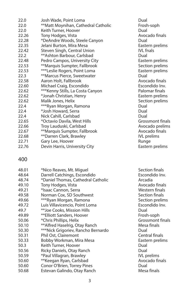| Josh Wade, Point Loma            | Dual                                                                                                                                                                            |
|----------------------------------|---------------------------------------------------------------------------------------------------------------------------------------------------------------------------------|
|                                  | Frosh-so                                                                                                                                                                        |
| Keith Turner, Hoover             | Dual                                                                                                                                                                            |
|                                  | Avocado                                                                                                                                                                         |
| *DeAndre Woods, Steele Canyon    | Dual                                                                                                                                                                            |
| Jelani Burton, Mira Mesa         | Eastern                                                                                                                                                                         |
|                                  | <b>IVL</b> fnals                                                                                                                                                                |
| **Ashton Barbour, Carlsbad       | Dual                                                                                                                                                                            |
| Pedro Campos, University City    | Eastern                                                                                                                                                                         |
| **Marquis Sumpter, Fallbrook     | Section                                                                                                                                                                         |
| ***Leslie Rogers, Point Loma     | Eastern                                                                                                                                                                         |
| **Marcus Pierce, Sweetwater      | Dual                                                                                                                                                                            |
| Aaron Holt, Fallbrook            | Avocado                                                                                                                                                                         |
|                                  | Escondio                                                                                                                                                                        |
| ***Kenny Stills, La Costa Canyon | Palomar                                                                                                                                                                         |
| *Jonah Christian, Henry          | Eastern                                                                                                                                                                         |
| Malik Jones, Helix               | Section                                                                                                                                                                         |
| ***Ryan Morgan, Ramona           | Dual                                                                                                                                                                            |
| *Josh Howard, Serra              | Dual                                                                                                                                                                            |
| Nick Cahill, Carlsbad            | Dual                                                                                                                                                                            |
| *Octavio Davila, West Hills      | Grossmo                                                                                                                                                                         |
| Troy Lauduski, Carlsbad          | Avocado                                                                                                                                                                         |
|                                  | Avocado                                                                                                                                                                         |
|                                  | <b>IVL</b> preli                                                                                                                                                                |
| Gary Lee, Hoover                 | Runge                                                                                                                                                                           |
| Devin Harris, University City    | Eastern                                                                                                                                                                         |
|                                  | **Matt Moynihan, Cathedral Catholic<br>Tony Hodges, Vista<br>Steven Singh, Central Union<br>Michael Craig, Escondido<br>**Marquis Sumpter, Fallbrook<br>**Darren Clark, Brawley |

Frosh-soph Avocado finals<br>Dual Eastern prelims<br>IVL fnals Eastern prelims Section prelims Eastern prelims<br>Dual Avocado finals Escondido Inv. Palomar finals Eastern prelims Section prelims Grossmont finals Avocado prelims Avocado finals IVL prelims Eastern prelims

#### 400

| 48.01 | *Nico Reaves, Mt. Miguel           | Section         |
|-------|------------------------------------|-----------------|
| 48.64 | Darrell Catchings, Escondido       | Escondi         |
| 48.74 | *Daniel Thomas, Cathedral Catholic | Arcadia         |
| 49.10 | Tony Hodges, Vista                 | Avocad          |
| 49.21 | *Isaac Cannon, Serra               | Westerr         |
| 49.58 | Norman Cox, SD Southwest           | Section         |
| 49.66 | ***Ryan Morgan, Ramona             | Section         |
| 49.72 | Luis Villavicencio, Point Loma     | Escondi         |
| 49.7  | **Joe Cooks, Mission Hills         | Dual            |
| 49.89 | **Elliott Sanders, Hoover          | Frosh-s         |
| 50.06 | *Chris Phillips, Helix             | Grossm          |
| 50.10 | **Alfred Haselrig, Otay Ranch      | Mesa fii        |
| 50.30 | ***Nick Grigoriev, Rancho Bernardo | Dual            |
| 50.31 | Phil Ost, Clairemont               | Central         |
| 50.33 | Bobby Workman, Mira Mesa           | Eastern         |
| 50.3  | Keith Turner, Hoover               | Dual            |
| 50.56 | Ricky Daniels, Otay Ranch          | Dual            |
| 50.59 | *Paul Villagran, Brawley           | <b>IVL</b> prel |
| 50.60 | **Keegan Ryan, Carlsbad            | Avocad          |
| 50.60 | Conor O'Brien, Torrey Pines        | Dual            |
| 50.68 | Estevan Galindo, Otay Ranch        | Mesa fii        |
|       |                                    |                 |

Section finals Escondido Inv.<br>Arcadia Avocado finals Western finals Section finals Section prelims Escondido Inv.<br>Dual Frosh-soph Grossmont finals Mesa finals<br>Dual Central finals Eastern prelims IVL prelims Avocado finals<br>Dual Mesa finals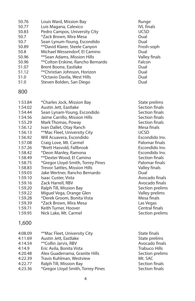| 50.76 | Louis Ward, Mission Bay           | Runge             |
|-------|-----------------------------------|-------------------|
| 50.77 | Luis Magana, Calexico             | <b>IVL</b> finals |
| 50.83 | Pedro Campos, University City     | <b>UCSD</b>       |
| 50.7  | *Zack Brown, Mira Mesa            | Dual              |
| 50.7  | Sean Lynum-Young, Escondido       | Dual              |
| 50.89 | **David Klarer, Steele Canyon     | Frosh-sor         |
| 50.8  | Michael Wessendorf, El Camino     | Dual              |
| 50.96 | **Sean Adams, Mission Hills       | Valley fin        |
| 50.96 | **Colton Erskine, Rancho Bernardo | Falcon            |
| 51.07 | Brent Boone, Eastlake             | Dual              |
| 51.12 | **Christian Johnson, Horizon      | Dual              |
| 51.0  | *Octavio Davila, West Hills       | Dual              |
|       | Steven Bolden, San Diego          | Dual              |
| 51.0  |                                   |                   |

#### 800

| 1:53.84 | *Charles Jock, Mission Bay        | State p     |
|---------|-----------------------------------|-------------|
| 1:54.02 | Austin Jett, Eastlake             | Sectio      |
| 1:54.44 | Sean Lynam-Young, Escondido       | Sectio      |
| 1:54.56 | Jaime Carrillo, Mission Hills     | Sectio      |
| 1:55.29 | Mark Thomas, Poway                | Sectio      |
| 1:56.12 | Ivan Dallet, Otay Ranch           | Mesa f      |
| 1:56.13 | **Mac Fleet, University City      | <b>UCSD</b> |
| 1:56.92 | Will Acuavera, Escondido          | Escon       |
| 1:57.08 | Craig Love, Mt. Carmel            | Palom       |
| 1:57.26 | *Brett Hasvold, Fallbrook         | Escon       |
| 1:58.42 | *Deon Manley, Ramona              | Escon       |
| 1:58.49 | **Dexter Wood, El Camino          | Sectio      |
| 1:58.75 | *Gregor Lloyd-Smith, Torrey Pines | Palom       |
| 1:58.83 | Trevor Sattles, Mission Hills     | Valley      |
| 1:59.03 | Jake Wertner, Rancho Bernardo     | Dual        |
| 1:59.10 | Isaac Custer, Vista               | Avoca       |
| 1:59.16 | Zack Harrell, RBV                 | Avoca       |
| 1:59.20 | Ralph Till, Mission Bay           | Sectio      |
| 1:59.22 | Miguel Vega, Orange Glen          | Valley      |
| 1:59.28 | *Derek Groom, Bonita Vista        | Mesa f      |
| 1:59.39 | *Zack Brown, Mira Mesa            | Las Ve      |
| 1:59.71 | Keith Turner, Hoover              | Centra      |
| 1:59.95 | Nick Lake, Mt. Carmel             | Sectio      |
| 1,600   |                                   |             |

| 4:08.09 | **Mac Fleet, University City      | State finals    |
|---------|-----------------------------------|-----------------|
| 4:11.69 | Austin Jett, Eastlake             | State prelims   |
| 4:14.54 | ** Collin Jarvis, RBV             | Avocado finals  |
| 4:14.9  | Eric Avila, Bonita Vista          | Trabuco Hills   |
| 4:20.48 | Alex Guaderrama, Granite Hills    | Section prelims |
| 4:22.39 | Travis Kuhlman, Westview          | Mt. SAC         |
| 4:22.77 | Ralph Till, Mission Bay           | Section finals  |
| 4:23.36 | *Gregor Lloyd Smith, Torrey Pines | Section finals  |
|         |                                   |                 |

Frosh-soph Valley finals<br>Falcon

State prelims Section finals Section finals Section finals Section finals Mesa finals<br>UCSD Escondido Inv. Palomar finals Escondido Inv Escondido Inv. Section finals Palomar finals Valley finals Avocado finals Avocado finals Section prelims Valley prelims Mesa finals Las Vegas Central finals Section prelims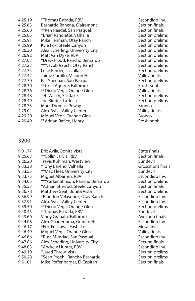| 4:25.19 | *Thomas Estrada, RBV            | Escond        |
|---------|---------------------------------|---------------|
| 4:25.63 | Bernardo Bahena, Clairemont     | Sectior       |
| 4:25.68 | **Ken Raedel, San Pasqual       | Sectior       |
| 4:25.85 | *Brian Randlette, Valhalla      | Sectior       |
| 4:25.91 | Mike Fenman, Otay Ranch         | Sectior       |
| 4:25.99 | Kyle Fox, Steele Canyon         | Sectior       |
| 4:26.30 | Alex Scherling, University City | Sectior       |
| 4:26.92 | Matt Van Dyke, RBV              | Sectior       |
| 4:27.03 | *Drew Flood, Rancho Bernardo    | Sectior       |
| 4:27.23 | ***Jacob Rauch, Otay Ranch      | Sectior       |
| 4:27.35 | Luke Binder, La Jolla           | Sectior       |
| 4:27.42 | Jaime Carrillo, Mission Hills   | Valley f      |
| 4:27.70 | Pat Sheehan, San Pasqual        | Sectior       |
| 4:28.30 | **Uriel Aguirre, Fallbrook      | Frosh-s       |
| 4:28.36 | **Diego Vega, Orange Glen       | Valley f      |
| 4:28.48 | Jeff Welch, Eastlake            | Sectior       |
| 4:28.49 | Joe Binder, La Jolla            | Sectior       |
| 4:28.73 | Mark Thomas, Poway              | <b>Bronco</b> |
| 4:29.04 | Alex Avila, Valley Center       | Valley f      |
| 4:29.20 | Miguel Vega, Orange Glen        | Bronco        |
| 4:29.49 | **Adrian Rafiee, Henry          | Frosh-s       |
|         |                                 |               |

Escondido Inv. Section finals Section finals Section prelims Section prelims Section prelims Section prelims Section prelims Section prelims Section prelims Section prelims Valley finals Section prelims Frosh-soph Valley finals Section prelims Section prelims Valley finals<br>Bronco Frosh-soph

#### 3200

| 9:01.77 | Eric Avila, Bonita Vista           | State fina |
|---------|------------------------------------|------------|
| 9:25.63 | **Collin Jarvis, RBV               | Section f  |
| 9:26.20 | Travis Kuhlman, Westview           | Sundevil   |
| 9:33.38 | *Tony Bareno, Valhalla             | Grossmo    |
| 9:33.55 | **Mac Fleet, University City       | Sundevil   |
| 9:33.75 | Miquel Albarren, RBV               | Escondic   |
| 9:34.05 | ***Parker Stinson, Rancho Bernardo | Section p  |
| 9:35.53 | *Adrian Sherrod, Steele Canyon     | Section f  |
| 9:36.78 | Matthew Seat, Bonita Vista         | Section r  |
| 9:36.99 | *Brandon Velasquez, Otay Ranch     | Escondic   |
| 9:37.91 | Alex Avila, Valley Center          | Escondic   |
| 9:39.50 | **Diego Vega, Orange Glen          | Section p  |
| 9:40.45 | *Thomas Estrada, RBV               | Sundevil   |
| 9:43.60 | Vinny Granata, Fallbrook           | Avocado    |
| 9:44.08 | Alex Guaderrama, Granite Hills     | Escondic   |
| 9:46.17 | *Eric Fujikawa, Eastlake           | Mesa fin   |
| 9:46.49 | Miguel Vega, Orange Glen           | Valley fir |
| 9:46.66 | *Russ Mundae, San Pasqual          | Escondic   |
| 9:47.86 | Alex Scherling, University City    | Section f  |
| 9:48.03 | *Andrew Hunter, RBV                | Escondic   |
| 9:49.19 | *Jared Threw, Vista                | Section p  |
| 9:50.28 | *Sean Proehl, Rancho Bernardo      | Section p  |
| 9:51.01 | Mike Poffenbarger, El Capitan      | Section f  |
|         |                                    |            |

State finals Section finals<br>Sundevil Grossmont finals<br>Sundevil Escondido Inv. Section prelims Section finals Section prelims Escondido Inv. Escondido Inv. Section prelims<br>Sundevil Avocado finals Escondido Inv. Mesa finals Valley finals Escondido Inv. Section finals Escondido Inv. Section prelims Section prelims Section finals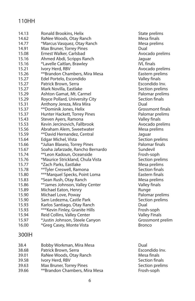#### 110HH

| 14.13 | Ronald Brookins, Helix           | State pre         |
|-------|----------------------------------|-------------------|
| 14.62 | RaNee Woods, Otay Ranch          | Mesa fina         |
| 14.77 | *Marcus Vasquez, Otay Ranch      | Mesa pre          |
| 14.91 | Max Bruner, Torrey Pines         | Dual              |
| 15.08 | Ernest Walker, Carlsbad          | Avocado           |
| 15.16 | Ahmed Abdi, Scripps Ranch        | Jaguar            |
| 15.16 | *Lavelle Caitlan, Brawley        | <b>IVL</b> finals |
| 15.21 | Ivory Herd, RBV                  | Avocado           |
| 15.26 | **Brandon Chambers, Mira Mesa    | Eastern p         |
| 15.27 | Edel Portelo, Escondido          | Valley fin        |
| 15.27 | Patrick Brown, Serra             | Escondid          |
| 15.27 | Mark Novilla, Eastlake           | Section p         |
| 15.29 | Ashton Gamat, Mt. Carmel         | Palomar           |
| 15.29 | Royce Pollard, University City   | Section f         |
| 15.31 | Anthony Jereza, Mira Mira        | Dual              |
| 15.37 | **Dominik Jones, Helix           | Grossmo           |
| 15.37 | Hunter Hackett, Torrey Pines     | Palomar           |
| 15.43 | Steven Ayers, Ramona             | Valley fin        |
| 15.53 | Kevin Jercinovich, Fallbrook     | Avocado           |
| 15.56 | Abraham Alem, Sweetwater         | Mesa pre          |
| 15.59 | **David Hernandez, Central       | Jaguar            |
| 15.64 | Edgar Michel, Vista              | Section p         |
| 15.66 | *Julian Blaseio, Torrey Pines    | Palomar           |
| 15.67 | Soaha Jafarzade, Rancho Bernardo | Sundevil          |
| 15.74 | **Leon Kadoun, Oceanside         | Frosh-so          |
| 15.76 | *Maurice Strickland, Chula Vista | Section p         |
| 15.77 | *Zach Parks, Eastlake            | Mesa pre          |
| 15.78 | **Tyler Creswell, Ramona         | Section f         |
| 15.80 | ***Marquel Specks, Point Loma    | Eastern f         |
| 15.83 | *Sean Rush, Otay Ranch           | Mesa pre          |
| 15.86 | **James Johnson, Valley Center   | Valley fin        |
| 15.89 | Michael Eaton, Henry             | Runge             |
| 15.90 | Michael Love, Poway              | Palomar           |
| 15.90 | Sam Ledezma, Castle Park         | Section p         |
| 15.93 | Karlos Santiago, Otay Ranch      | Dual              |
| 15.93 | *** Kevin Finley, Granite Hills  | Frosh-so          |
| 15.94 | Reid Collins, Valley Center      | <b>Valley Fir</b> |
| 15.97 | *Justin Johnson, Steele Canyon   | Grossmo           |
| 16.00 | *Greg Casey, Monte Vista         | <b>Bronco</b>     |
|       |                                  |                   |

#### Mesa finals Mesa prelims<br>Dual Avocado prelims<br>Jaguar Avocado prelims Eastern prelims Valley finals Escondido Inv. Section prelims Palomar prelims Section finals<br>Dual Grossmont finals Palomar prelims Valley finals Avocado prelims Mesa prelims Section prelims Palomar finals<br>Sundevil Frosh-soph Section prelims Mesa prelims Section finals Eastern finals Mesa prelims Valley finals Palomar prelims Section prelims Frosh-soph Valley Finals Grossmont prelim

State prelims

#### 300IH

| 38.4  | Bobby Workman, Mira Mesa      | Dual            |
|-------|-------------------------------|-----------------|
| 38.68 | Patrick Brown, Serra          | Escondido Inv.  |
| 39.01 | RaNee Woods, Otay Ranch       | Mesa finals     |
| 39.58 | Ivory Herd, RBV               | Section finals  |
| 39.63 | Max Bruner, Torrey Pines      | Section prelims |
| 39.66 | **Brandon Chambers, Mira Mesa | Frosh-soph      |
|       |                               |                 |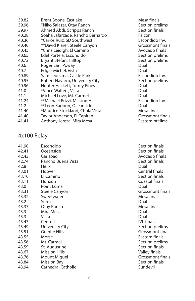| 39.82 | Brent Boone, Eastlake            | Mesa f  |
|-------|----------------------------------|---------|
| 39.96 | *Niko Salazar, Otay Ranch        | Sectio  |
| 39.97 | Ahmed Abdi, Scripps Ranch        | Sectio  |
| 40.28 | Soaha Jafarzade, Rancho Bernardo | Falcon  |
| 40.36 | *Carlos Ruiz, SD Southwest       | Escono  |
| 40.40 | **David Klarer, Steele Canyon    | Grossr  |
| 40.45 | *Chris Leidigh, El Camino        | Avoca   |
| 40.65 | Edel Portela, Escondido          | Sectio  |
| 40.72 | Bryant Stefan, Hilltop           | Sectio  |
| 40.6  | Roger Earl, Poway                | Dual    |
| 40.7  | Edgar Michel, Vista              | Dual    |
| 40.89 | Sam Ledezma, Castle Park         | Escono  |
| 40.95 | Robert Navarro, University City  | Sectio  |
| 40.96 | Hunter Hackett, Torrey Pines     | Dual    |
| 41.0  | *Vince Walters, Vista            | Dual    |
| 41.1  | Michael Love, Mt. Carmel         | Dual    |
| 41.24 | **Michael Prizzi, Mission Hills  | Escono  |
| 41.2  | **Leon Kadoun, Oceanside         | Dual    |
| 41.40 | *Maurice Strickland, Chula Vista | Mesa f  |
| 41.40 | Taylor Anderson, El Capitan      | Grossr  |
| 41.41 | Anthony Jereza, Mira Mesa        | Easteri |
|       |                                  |         |

#### Mesa finals Section prelims Section finals Escondido Inv. Grossmont finals Avocado finals Section prelims Section prelims Escondido Inv. Section prelims Escondido Inv.<br>Dual Mesa finals Grossmont finals Eastern prelims

#### 4x100 Relay

| 41.90 | Escondido              | Section f         |
|-------|------------------------|-------------------|
| 42.41 | Oceanside              | Section f         |
| 42.43 | Carlsbad               | Avocado           |
| 42.74 | Rancho Buena Vista     | Section f         |
| 42.8  | Helix                  | Dual              |
| 43.01 | Hoover                 | Central fi        |
| 43.10 | El Camino              | Section f         |
| 43.11 | Horizon                | Coastal f         |
| 43.0  | Point Loma             | Dual              |
| 43.31 | Steele Canyon          | Grossmo           |
| 43.32 | Sweetwater             | Mesa fina         |
| 43.2  | Serra                  | Dual              |
| 43.37 | Otay Ranch             | Mesa fina         |
| 43.3  | Mira Mesa              | Dual              |
| 43.3  | Vista                  | Dual              |
| 43.47 | Central                | <b>IVL</b> finals |
| 43.49 | <b>University City</b> | Section p         |
| 43.51 | <b>Granite Hills</b>   | Grossmo           |
| 43.55 | Morse                  | Eastern f         |
| 43.56 | Mt. Carmel             | Section p         |
| 43.59 | St. Augustine          | Section f         |
| 43.67 | <b>Mission Hills</b>   | Valley fin        |
| 43.76 | Mount Miguel           | Grossmo           |
| 43.84 | Mission Bay            | Section f         |
| 43.94 | Cathedral Catholic     | Sundevil          |

Section finals Section finals Avocado finals Section finals<br>Dual Central finals Section finals Coastal finals<br>Dual Grossmont finals Mesa finals Mesa finals<br>Dual Section prelims Grossmont finals Eastern finals Section prelims Section finals Valley finals Grossmont finals Section finals<br>Sundevil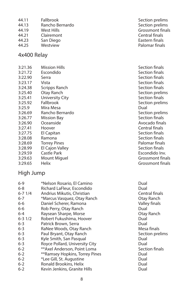- 44.11 Fallbrook **Fallbrook** Section prelims<br>44.13 Rancho Bernardo **Section Section prelims** 44.13 Rancho Bernardo<br>44.19 West Hills 44.21 Clairemont Central finals<br>44.23 San Diego Central finals Central finals 44.23 San Diego<br>44.25 Westview
- 

#### 4x400 Relay

| 3:21.36 | <b>Mission Hills</b>   | Section finals   |
|---------|------------------------|------------------|
| 3:21.72 | Escondido              | Section finals   |
| 3:22.90 | Serra                  | Section finals   |
| 3:23.17 | Vista                  | Section finals   |
| 3:24.38 | Scripps Ranch          | Section finals   |
| 3:25.40 | Otay Ranch             | Section prelims  |
| 3:25.41 | <b>University City</b> | Section finals   |
| 3:25.92 | Fallbrook              | Section prelims  |
| 3:25.9  | Mira Mesa              | Dual             |
| 3:26.69 | Rancho Bernardo        | Section prelims  |
| 3:26.77 | Mission Bay            | Section finals   |
| 3:26.90 | Oceanside              | Avocado finals   |
| 3:27.41 | Hoover                 | Central finals   |
| 3:27.75 | El Capitan             | Section finals   |
| 3:28.08 | Ramona                 | Section finals   |
| 3:28.69 | <b>Torrey Pines</b>    | Palomar finals   |
| 3:28.99 | El Cajon Valley        | Section finals   |
| 3:29.59 | Castle Park            | Escondido Inv.   |
| 3:29.63 | Mount Miguel           | Grossmont finals |
| 3:29.65 | Helix                  | Grossmont finals |

#### High Jump

| $6 - 9$    | *Nelson Rosario, El Camino     | Dual  |
|------------|--------------------------------|-------|
| 6-8        | Richard LaFleur, Escondido     | Dual  |
| $6 - 71/4$ | Andrius Mikutis, Christian     | Cent  |
| $6 - 7$    | *Marcus Vasquez, Otay Ranch    | Otay  |
| 6-6        | Daniel Scherer, Ramona         | Valle |
| 6-6        | Rob Perry, Otay Ranch          | Dual  |
| $6 - 4$    | Raysean Sharpe, Morse          | Otay  |
| $6 - 31/2$ | Robert Fukushima, Hoover       | Dual  |
| $6 - 3$    | Patrick Brown, Serra           | Dual  |
| $6 - 3$    | RaNee Woods, Otay Ranch        | Mesa  |
| $6 - 3$    | Paul Bryant, Otay Ranch        | Secti |
| $6 - 3$    | Kyle Smith, San Pasqual        | Dual  |
| $6 - 3$    | Royce Pollard, University City | Dual  |
| $6 - 2$    | **Axel Anderson, Point Loma    | Secti |
| $6 - 2$    | **Ramsey Hopkins, Torrey Pines | Dual  |
| $6 - 2$    | *Lee Gill, St. Augustine       | Dual  |
| $6 - 2$    | Ronald Brookins, Helix         | Dual  |
| $6 - 2$    | Kevin Jenkins, Granite Hills   | Dual  |

Grossmont finals Palomar finals

> Central finals Otay Ranch Valley finals Otay Ranch<br>Dual Mesa finals Section prelims Section finals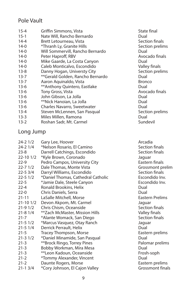#### Pole Vault

| $15 - 4$ | Griffin Simmons, Vista           | State fina    |
|----------|----------------------------------|---------------|
| $15 - 1$ | Nate Will, Rancho Bernardo       | Dual          |
| $14 - 4$ | Brett Letourneau, Vista          | Section fi    |
| $14-0$   | *Thranh Ly, Granite Hills        | Section p     |
| $14-0$   | Will Sommervill, Rancho Bernardo | Dual          |
| $14-0$   | Peter Haproff, RBV               | Avocado       |
| $14-0$   | Mike Gaarde, La Costa Canyon     | Dual          |
| $14-0$   | Caleb Monticalvo, Escondido      | Valley fin    |
| $13 - 8$ | Danny Hogan, Universty City      | Section p     |
| $13 - 7$ | **Gerald Golden, Rancho Bernardo | Dual          |
| $13 - 7$ | Aaron Aquinaldo, Vista           | <b>Bronco</b> |
| $13-6$   | **Anthony Quintero, Eastlake     | Dual          |
| $13-6$   | Tony Gross, Vista                | Avocado       |
| $13-6$   | John Gibson, La Jolla            | Dual          |
| $13-6$   | **Nick Hanoian, La Jolla         | Dual          |
| $13-6$   | Charles Navarro, Sweetwater      | Dual          |
| $13 - 4$ | Steven McLennen, San Pasqual     | Section p     |
| $13 - 3$ | Miles Millen, Ramona             | Dual          |
| $13 - 2$ | Roshan Sadr, Mt. Carmel          | Sundevil      |

#### Long Jump

| $24 - 21/2$  | Gary Lee, Hoover                   | Arcadia   |
|--------------|------------------------------------|-----------|
| $24-2$ $1/4$ | *Nelson Rosario, El Camino         | Section   |
| $23 - 8$     | Darrell Catchings, Escondido       | Section   |
| 22-10 1/2    | *Kyle Brown, Coronado              | Jaguar    |
| $22-9$       | Pedro Campos, University City      | Eastern   |
| $22 - 71/2$  | Dale Thomas, Monte Vista           | Grossm    |
| $22 - 53/4$  | Darryl Williams, Escondido         | Section   |
| $22 - 51/2$  | *Daniel Thomas, Cathedral Catholic | Escondi   |
| $22 - 5$     | *Jamie Dale, Steele Canyon         | Escondi   |
| $22 - 4$     | Ronald Brookins, Helix             | Dual      |
| $22 - 0$     | Chris Daniels, Serra               | Dual      |
| $21 - 11$    | LaSalle Mitchell, Morse            | Eastern   |
| $21 - 101/2$ | Devon Akpom, Mt. Carmel            | Jaguar    |
| $21 - 91/2$  | Chris Chism, Oceanside             | Section   |
| $21 - 81/4$  | **Zach McMaster, Mission Hills     | Valley fi |
| $21 - 7$     | *Alante Womack, San Diego          | Section   |
| $21 - 51/2$  | *Marcus Vasquez, Otay Ranch        | Jaguar    |
| $21 - 51/4$  | Derrick Perrault, Helix            | Dual      |
| $21 - 5$     | Tracey Thompson, Morse             | Eastern   |
| $21 - 31/2$  | *Daniel Minamide, San Pasqual      | Dual      |
| $21 - 3$     | **Brock Ringo, Torrey Pines        | Paloma    |
| $21 - 3$     | Bobby Workman, Mira Mesa           | Dual      |
| $21 - 3$     | **Leon Kadoun, Oceanside           | Frosh-s   |
| $21 - 2$     | *Tommy Alexander, Vincent          | Dual      |
| $21 - 2$     | Daunte Rogers, Morse               | Eastern   |
| $21 - 13/4$  | *Cory Johnson, El Cajon Valley     | Grossm    |
|              |                                    |           |

State final<br>Dual Section finals Section prelims<br>Dual Avocado finals Valley finals Section prelims Avocado finals Section prelims<br>Dual

Section finals Section finals<br>Jaquar Eastern finals Grossmont prelim Section finals Escondido Inv. Escondido Inv.<br>Dual Eastern Prelims Section finals Valley finals Section finals Eastern prelims<br>Dual Palomar prelims Frosh-soph<br>Dual Eastern prelims Grossmont finals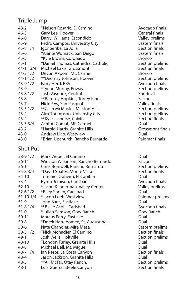#### Triple Jump

| $48 - 2$    | *Nelson Rpsario, El Camino         | Avocado    |
|-------------|------------------------------------|------------|
| $46 - 3$    | Gary Lee, Hoover                   | Central f  |
| $46 - 0$    | Darryl Williams, Escondido         | Valley pr  |
| $45-9$      | Pedro Campos, University City      | Eastern f  |
| $45 - 81/4$ | Igor Seriba, La Jolla              | Section f  |
| $45 - 6$    | *Alante Womack, San Diego          | Eastern f  |
| $45 - 5$    | *Kyle Brown, Coronado              | Bronco     |
| $45-1$      | *Daniel Thomas, Cathedral Catholic | Section p  |
| 44-113/4    | Michael Lakis, Grossmont           | Section f  |
| $44 - 21/2$ | Devon Akpom, Mt. Carmel            | Bronco     |
| $44 - 11/2$ | **Deontry Johnson, Hoover          | Section p  |
| $43-91/2$   | Ivory Herd, RBV                    | Avocado    |
| 43-9        | *Tynan Murray, Poway               | Section p  |
| $43 - 81/2$ | Josh Vasquez, Central              | Sundevil   |
| $43 - 8$    | **Ramsey Hopkins, Torrey Pines     | Falcon     |
| $43 - 7$    | Nick Pew, San Pasqual              | Valley fir |
| $43 - 51/2$ | **Zach McMaster, Mission Hills     | Section p  |
| 43-4        | Alex Thompson, University City     | Section p  |
| $43 - 4$    | **Kyle Jasperse, Calvin            | Section f  |
| $43 - 33/4$ | Ashton Gamat, Mt. Carmel           | Dual       |
| 43-2        | *Harold Harris, Granite Hills      | Grossmo    |
| $43-0$      | Andrew Liao, Westview              | Dual       |
| $43-0$      | *Brian Upchurch, Rancho Bernardo   | Palomar    |
|             |                                    |            |

#### Shot Put

| 58-9 1/2<br>56-11<br>$56-1$<br>55-8 3/4<br>54-10<br>53-4<br>$52 - 10$<br>$52 - 61/2$<br>51-10 1/4<br>$51-9$ | Mark Weber, El Camino<br>Winston Wilkinson, Rancho Bernardo<br>Chris Boniwell, Rancho Bernardo<br>*David Spates, Monte Vista<br>Tommie Draheim, El Capitan<br>Byron Jemison, Carlsbad<br>*Jason Klingerman, Valley Center<br>*Riley Shoen, Carlsbad<br>*Jacob Loeh, Westview<br>John Baez, Eastlake | Dual<br>Falcon<br>Sectio<br>Sectio<br>Dual<br>Avoca<br>Valley<br>Dual<br>Palom<br>Dual |
|-------------------------------------------------------------------------------------------------------------|-----------------------------------------------------------------------------------------------------------------------------------------------------------------------------------------------------------------------------------------------------------------------------------------------------|----------------------------------------------------------------------------------------|
| $51 - 81/4$                                                                                                 | **Blake Asbill, Carlsbad                                                                                                                                                                                                                                                                            | Avoca                                                                                  |
| $51-0$                                                                                                      | *Julian Samson, Otay Ranch                                                                                                                                                                                                                                                                          | Otay R                                                                                 |
| $50 - 11$                                                                                                   | Marcus Perry, Eastlake                                                                                                                                                                                                                                                                              | Dual                                                                                   |
| $50 - 8$                                                                                                    | *Derek Harrebomee, St. Augustine                                                                                                                                                                                                                                                                    | Dual                                                                                   |
| $50-6$                                                                                                      | Nate Chandler, Mira Mesa                                                                                                                                                                                                                                                                            | Easteri                                                                                |
| $50-51/2$                                                                                                   | *Nick Mohadjer, El Camino                                                                                                                                                                                                                                                                           | Sectio                                                                                 |
| $49-1$                                                                                                      | Josh Wells, Holtville                                                                                                                                                                                                                                                                               | Sectio                                                                                 |
| 48-10                                                                                                       | *London Turley, Granite Hills                                                                                                                                                                                                                                                                       | Dual                                                                                   |
| $48 - 8$                                                                                                    | Michael Bell, Mt. Miguel                                                                                                                                                                                                                                                                            | Dual                                                                                   |
| 48-7 1/4                                                                                                    | lan Resor, La Costa Canyon                                                                                                                                                                                                                                                                          | Sectio                                                                                 |
| 48-4                                                                                                        | Jason Jackson, Granite Hills                                                                                                                                                                                                                                                                        | Dual                                                                                   |
| $48-3$                                                                                                      | **Ali McTar, Otay Ranch,                                                                                                                                                                                                                                                                            | Sectio                                                                                 |
| $48-1$                                                                                                      | Luis Guerra, Steele Canyon                                                                                                                                                                                                                                                                          | Sectio                                                                                 |
|                                                                                                             |                                                                                                                                                                                                                                                                                                     |                                                                                        |

Avocado finals Central finals Valley prelims Eastern finals Section finals Eastern finals Section prelims Section finals Section prelims Avocado finals Section prelims<br>Sundevil Valley finals Section prelims Section prelims Section finals<br>Dual Grossmont finals<br>Dual Palomar finals

Section prelims Section finals<br>Dual Avocado finals Valley prelims<br>Dual Palomar prelims<br>Dual Avocado finals Otay Ranch<br>Dual Eastern prelims Section finals Section prelims Section finals Section prelims Section finals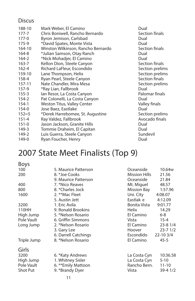#### **Discus**

| 188-10    | Mark Weber, El Camino              | Dual            |
|-----------|------------------------------------|-----------------|
| 177-7     | Chris Boniwell, Rancho Bernardo    | Section finals  |
| $177 - 0$ | Byron Jemison, Carlsbad            | Dual            |
| 175-9     | *David Spates, Monte Vista         | Dual            |
| 164-10    | Winston Wilkinson, Rancho Bernardo | Section finals  |
| 164-8     | *Julian Samson, Otay Ranch         | Dual            |
| $164 - 2$ | *Nick Mohadjer, El Camino          | Dual            |
| $163 - 7$ | Kellon Dion, Steele Canyon         | Section finals  |
| $162 - 4$ | Richard LaFleur, Escondido         | Section prelims |
| 159-10    | Lane Thompson, Helix               | Section prelims |
| 158-4     | Ryan Pearl, Steele Canyon          | Section finals  |
| 157-11    | Nate Chandler, Mira Mesa           | Section prelims |
| 157-9     | *Ray Lian, Fallbrook               | Dual            |
| $155 - 3$ | lan Resor, La Costa Canyon         | Palomar finals  |
| 154-2     | Pat Colonelli, La Costa Canyon     | Dual            |
| $154-1$   | Weston Titus, Valley Center        | Valley finals   |
| 154-0     | Jose Baez, Eastlake                | Dual            |
| $152 = 5$ | *Derek Harrebomee, St. Augustine   | Section prelims |
| $151 - 4$ | Ray Valdez, Fallbrook              | Avocado finals  |
| $151 - 0$ | Jason Jackson, Granite Hills       | Dual            |
| 149-3     | Tommie Draheim, El Capitan         | Dual            |
| 149-2     | Luis Guerra, Steele Canyon         | Sundevil        |
| 149-0     | Ryan Foucher, Henry                | Dual            |
|           |                                    |                 |

## 2007 State Meet Finalists (Top 9)

#### Boys

| 100         | 5. Maurice Patterson | Oceanside            | 10.64 <sub>w</sub> |
|-------------|----------------------|----------------------|--------------------|
| 200         | 8. *Joe Cooks        | <b>Mission Hills</b> | 21.56              |
|             | 9. Maurice Patterson | Oceanside            | 21.84              |
| 400         | 7. *Nico Reaves      | Mt. Miguel           | 48.57              |
| 800         | 8. *Charles Jock     | Mission Bay          | 1:57.96            |
| 1600        | 2. **Mac Fleet       | Uni. City            | 4:08.07            |
|             | 5. Austin Jett       | Eastlak e            | 4:12.09            |
| 3200        | 1. Eric Avila        | Bonita Vista         | 9:01.77            |
| 110HH       | 9. Ronald Brookins   | Helix                | 14.29              |
| High Jump   | 5. *Nelson Rosario   | El Camino            | 6-8                |
| Pole Vault  | 6. Griffin Simmons   | Vista                | $15 - 4$           |
| Long Jump   | 2. *Nelson Rosario   | El Camino            | $23 - 81/4$        |
|             | 3. Gary Lee          | Hoover               | $23 - 71/2$        |
|             | 6. Darrell Catchings | Escondido            | $22 - 103/4$       |
| Triple Jump | 8. *Nelson Rosario   | El Camino            | 45-5               |
| Girls       |                      |                      |                    |
| 3200        | 6. *Katy Andrews     | La Costa Cyn         | 10:36.58           |
| High Jump   | 1. Whitney Sisler    | La Costa Cyn         | $5 - 10$           |
| Pole Vault  | 6. ** Emily Mattoon  | Rancho Bern.         | $11 - 10$          |
| Shot Put    | 9. *Brandy Dyer      | Vista                | 39-4 1/2           |
|             | 11                   |                      |                    |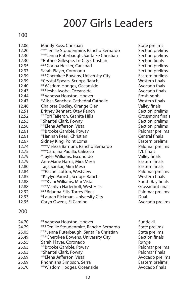# 2007 Girls Leaders

#### 100

| ***Tenille Stoudenmire, Rancho Bernardo<br>12.20  | Section p<br>Section p |
|---------------------------------------------------|------------------------|
|                                                   |                        |
| *** Jenna Puterbaugh, Santa Fe Christian<br>12.30 |                        |
| 12.30<br>*Britnee Gillespie, Tri-City Christian   | Section fi             |
| *** Corina Hecker, Carlsbad<br>12.35              | Section p              |
| 12.37<br>Sarah Player, Coronado                   | Section p              |
| *** Cherokee Bowens, University City<br>12.39     | Eastern p              |
| 12.39<br>*Crystal Spears, Scripps Ranch           | Western f              |
| **Wisdom Hodges, Oceanside<br>12.40               | Avocado                |
| *** lesha lwobe, Oceanside<br>12.43               | Avocado                |
| 12.44<br>**Vanessa Houston, Hoover                | Frosh-sor              |
| 12.47<br>*Alissa Sanchez, Cathedral Catholic      | Western f              |
| 12.48<br>Chalores Dudley, Orange Glen             | Valley fin             |
| 12.51<br>Britney Bennett, Otay Ranch              | Section p              |
| 12.52<br>**Tori Taijeron, Granite Hills           | Grossmor               |
| 12.53<br>*Shantel Clark, Poway                    | Section p              |
| 12.58<br>**Elena Jefferson, Vista                 | Section p              |
| 12.61<br>**Brooke Gamble, Poway                   | Palomar p              |
| *Hannah Pearl, Christian<br>12.61                 | Central fir            |
| 12.67<br>Sidney King, Point Loma                  | Eastern p              |
| ***Melissa Barnum, Rancho Bernardo<br>12.74       | Palomar p              |
| ***Carolina Padilla, Calexico<br>12.75            | <b>IVL</b> finals      |
| *Tayler Williams, Escondido<br>12.79              | Valley fin             |
| 12.79<br>Ann-Marie Harris, Mira Mesa              | Eastern fi             |
| 12.80<br>Taija Sankar, Mira Mesa                  | Eastern fi             |
| **Rachel Lofton, Westview<br>12.84                | Palomar p              |
| 12.85<br>*Kaylyn Parrish, Scripps Ranch           | Western f              |
| *** Kiani Williams, Mar Vista<br>12.88            | South Bay              |
| *** Marilyn Naderhoff, West Hills<br>12.88        | Grossmor               |
| ***Brianna Ellis, Torrey Pines<br>12.92           | Palomar p              |
| 12.93<br>*Lauren Rickman, University City         | Dual                   |
| 12.95<br>Caryn Owens, El Camino                   | Avocado                |
| 200                                               |                        |
| 24.70<br>**Vanessa Houston, Hoover                | Sundevil               |
| ***Tenille Stoudenmire, Rancho Bernardo<br>24.79  | State prel             |
| *** Jenna Puterbaugh, Santa Fe Christian<br>25.05 | State prel             |
| *** Cherokee Bowens, University City<br>25.49     | Section fi             |
| 25.55<br>Sarah Player, Coronado                   | Runge                  |

- 25.63 \*\*Brooke Gamble, Poway Palomar prelims<br>25.63 \*Shantel Clark. Poway Palomar finals
- \*Shantel Clark, Poway
- 25.69 <sup>\*\*</sup>Elena Jefferson, Vista **Australia Australia Avocado prelims**<br>25.69 Ahonnisha Simpson, Serra **Australia Australia Australia Eastern** prelims
- 25.69 Rhonnisha Simpson, Serra **Eastern prelims**<br>25.70 **\*\*Wisdom Hodges, Oceanside Eastern Avocado finals**
- \*\*Wisdom Hodges, Oceanside

State prelims Section prelims Section prelims Section finals Section prelims Section prelims Eastern prelims Western finals Avocado fnals Avocado finals Frosh-soph Western finals Valley finals Section prelims Grossmont finals Section prelims Section prelims Palomar prelims Central finals Eastern prelims Palomar prelims Valley finals Eastern finals Eastern finals Palomar prelims Western finals South Bay finals Grossmont finals Palomar prelims Avocado prelims

State prelims State prelims Section finals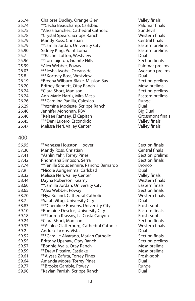| 25.74 | Chalores Dudley, Orange Glen              | Valley fin    |
|-------|-------------------------------------------|---------------|
| 25.74 | **Ceclia Beauchamp, Carlsbad              | Palomar f     |
| 25.75 | *Alissa Sanchez, Cathedral Catholic       | Sundevil      |
| 25.78 | *Crystal Spears, Scripps Ranch            | Western 1     |
| 25.79 | Mandy Ross, Christian                     | Central fi    |
| 25.79 | **Jamila Jordan, University City          | Eastern p     |
| 25.90 | Sidney King, Point Loma                   | Eastern p     |
| 25.7  | **Rachel Lofton, Westview                 | Dual          |
| 25.96 | **Tori Taijeron, Granite Hills            | Section fi    |
| 25.99 | *Alex Webber, Poway                       | Palomar       |
| 26.03 | *** lesha lwobe, Oceanside                | Avocado       |
| 25.8  | ***Kortney Ross, Westview                 | Dual          |
| 26.19 | *Breena Wilburn-Blake, Mission Bay        | Section p     |
| 26.20 | Britney Bennett, Otay Ranch               | Mesa pre      |
| 26.24 | *Ciara Short, Madison                     | Section p     |
| 26.24 | Ann-Marie Harris, Mira Mesa               | Eastern p     |
| 26.26 | ***Carolina Padilla, Calexico             | Runge         |
| 26.29 | *Yazmine Modeste, Scripps Ranch           | Dual          |
| 26.40 | Jennifer Monohan, RBV                     | Big Dual      |
| 26.40 | *Kelsee Ramsey, El Capitan                | Grossmo       |
| 26.45 | ***Deni Lucero, Escondido                 | Valley fin    |
| 26.47 | Melissa Neri, Valley Center               | Valley fin    |
|       |                                           |               |
| 400   |                                           |               |
| 56.95 | **Vanessa Houston, Hoover                 | Section fi    |
| 57.30 | Mandy Ross, Christian                     | Central fi    |
| 57.41 | *Ashlin Yahr, Torrey Pines                | Section p     |
| 57.42 | Rhonnisha Simpson, Serra                  | Section fi    |
| 57.74 | **Tenille Stoudenmire, Rancho Bernardo    | <b>Bronco</b> |
| 57.9  | *Nicole Aurigemma, Carlsbad               | Dual          |
| 58.32 | Melissa Neri, Valley Center               | Valley fin    |
| 58.44 | Dayna Roberson, Kearny                    | Western f     |
| 58.60 | ** Jamilla Jordan, University City        | Eastern fi    |
| 58.65 | *Alex Webber, Poway                       | Section fi    |
| 58.70 | *Nya Boland, Cathedral Catholic           | Western 1     |
| 58.7  | *Sarah Vitug, University City             | Dual          |
| 58.83 | ***Cherokee Bowens, University City       | Frosh-sor     |
| 59.10 | *Romaine Desclos, University City         | Eastern fi    |
| 59.18 | ***Lauren Krassny, La Costa Canyon        | Frosh-sop     |
| 59.24 | *Ciara Short, Madison                     | Section fi    |
| 59.37 | ** Ashlee Clatterburg, Cathedral Catholic | Western 1     |
| 59.2  | Andrea Jacobs, Vista                      | Dual          |
| 59.52 | ***Camille Alvarado, Marian Catholic      | Section fi    |
| 59.55 | Brittany Upshaw, Otay Ranch               | Section p     |
| 59.57 | *Bonnie Ayala, Otay Ranch                 | Mesa pre      |
| 59.59 | **Drew Pitcairn, Eastlake                 | Mesa pre      |
| 59.61 | ** Alyssa Zafuta, Torrey Pines            | Frosh-sop     |
| 59.64 | Amanda Moore, Torrey Pines                | Dual          |
| 59.77 | **Brooke Gamble, Poway                    | Runge         |
| 59.90 | *Kaylan Parrish, Scripps Ranch            | Dual          |

Valley finals Palomar finals Western finals Central finals Eastern prelims Eastern prelims<br>Dual Section finals Palomar prelims Avocado prelims Section prelims Mesa prelims Section prelims Eastern prelims<br>Runge Grossmont finals Valley finals Valley finals

Section finals Central finals **Section prelims** Section finals<br>Bronco Valley finals Western finals Eastern finals Section finals Western finals<br>Dual Frosh-soph Eastern finals Frosh-soph Section finals Western finals<br>Dual Section finals Section prelims Mesa prelims Mesa prelims Frosh-soph<br>Dual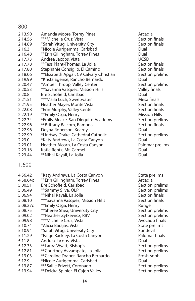#### 800

| 2:13.90 | Amanda Moore, Torrey Pines              | Arcadia     |
|---------|-----------------------------------------|-------------|
| 2:14.56 | ***Michelle Cruz, Vista                 | Section     |
| 2:14.89 | *Sarah Vitug, University City           | Section     |
| 2:16.3  | *Nicole Aurigemma, Carlsbad             | Dual        |
|         |                                         |             |
| 2:16.48 | **Erin Gillingham, Torrey Pines         | Dual        |
| 2:17.73 | Andrea Jacobs, Vista                    | <b>UCSD</b> |
| 2:17.78 | **Tess Plant-Thomas, La Jolla           | Section     |
| 2:17.80 | Stephanie Consiglio, El Camino          | Section     |
| 2:18.06 | **Elizabeth Apgar, CV Calvary Christian | Section     |
| 2:19.99 | *Krista Egense, Rancho Bernardo         | Dual        |
| 2:20.47 | *Amber Throop, Valley Center            | Section     |
| 2:20.53 | **Savanna Vasquez, Mission Hills        | Valley fi   |
| 2:20.8  | Bre Schofield, Carlsbad                 | Dual        |
| 2:21.51 | ***Maila Luch, Sweetwater               | Mesa fii    |
| 2:21.95 | Heather Mayer, Monte Vista              | Section     |
| 2:22.08 | *Erin Murphy, Valley Center             | Section     |
| 2:22.19 | **Emily Osga, Henry                     | Mission     |
| 2:22.34 | *Emily Mecke, San Dieguito Academy      | Section     |
| 2:22.96 | **Brittany Balcom, Ramona               | Section     |
| 2:22.96 | Deyna Roberson, Kearny                  | Dual        |
| 2:22.99 | *Lindsay Drake, Cathedral Catholic      | Section     |
| 2:23.0  | *Katy Andrews, La Costa Canyon          | Dual        |
| 2:23.01 | Heather Alcorn, La Costa Canyon         | Paloma      |
| 2:23.16 | Katie Rentz, Mt. Carmel                 | Dual        |
| 2:23.44 | **Nihal Kayali, La Jolla                | Dual        |
|         |                                         |             |

Section finals Section finals<br>Dual Section finals Section finals Section prelims Section prelims Valley finals<br>Dual Mesa finals Section finals Section finals **Mission Hills** Section prelims Section finals<br>Dual Section prelims Palomar prelims

#### 1,600

| 4:56.42  | *Katy Andrews, La Costa Canyon     | State prelims   |
|----------|------------------------------------|-----------------|
| 4:58.64c | **Erin Gillingham, Torrey Pines    | Arcadia         |
| 5:00.51  | Bre Schofield, Carlsbad            | Section prelims |
| 5:06.49  | **Sammy Silva, OLP                 | Section prelims |
| 5:06.94  | **Nihal Kayali, La Jolla           | Section finals  |
| 5:08.10  | *** Savanna Vasquez, Mission Hills | Section finals  |
| 5:08.27c | **Emily Osga, Henry                | Runge           |
| 5:08.75  | **Sheree Shea, University City     | Section prelims |
| 5:09.02  | **Heather Zytkewicz, RBV           | Section prelims |
| 5:09.98  | ***Michelle Cruz, Vista            | Avocado finals  |
| 5:10.74  | *Alicia Barajas, Vista             | State prelims   |
| 5:10.94  | *Sarah Vitug, University City      | Sundevil        |
| 5:11.29  | *Paige Rackley, La Costa Canyon    | Palomar finals  |
| 5:11.8   | Andrea Jacobs, Vista               | Dual            |
| 5:12.33  | **Laura Wyatt, Bishop's            | Section prelims |
| 5:12.81  | **Courtney Avvampato, La Jolla     | Section prelims |
| 5:13.03  | **Caroline Draper, Rancho Bernardo | Frosh-soph      |
| 5:12.9   | *Nicole Aurigemma, Carlsbad        | Dual            |
| 5:13.87  | *** Sallie Privett, Coronado       | Section prelims |
| 5:13.94  | **Deidra Spinler, El Cajon Valley  | Section prelims |
|          |                                    |                 |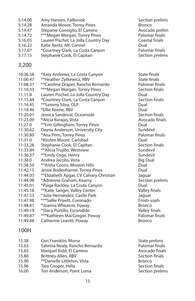- 5:14.00 Amy Hansen, Fallbrook Section prelims 5:14.28 Amanda Moore, Torrey Pines<br>5:14.47 Stepanie Consiglio, El Camino Bronco Avocado prelim Stepanie Consiglio, El Camino 5:14.72 \*\*\*Megan Morgan, Torrey Pines<br>5:16.05 - Lauren Pischel La Jolla Country Day - Palomar finals 5:16.05 Lauren Pischel, La Jolla Country Day Coast<br>5:16.22 Katie Rentz. Mt. Carmel Katie Rentz, Mt. Carmel 5:17.07 \*Courtney Clark, La Costa Canyon **Palomar finals**<br>5:17.15 Stephanie Cook, El Capitan **Paricia en Section** prelims 5:17.15 Stephanie Cook, El Capitan 3,200 10:36.58 \*Katy Andrews, La Costa Canyon State finals 11:00.47 \*\*Heather Zytkewicz, RBV<br>11:08.37 \*\*Caroline Draper. Rancho Bernardo Palomar finals 11:08.37 \*\* Caroline Draper, Rancho Bernardo 11:10.33 \*\*\*Megan Morgan, Torrey Pines Section finals 11:11.8 Lauren Pischel, La Jolla Country Day Dual<br>11:15.44 \*Courtney Clark, La Costa Canyon Section finals 11:15.44 \*Courtney Clark, La Costa Canyon **Section finals and Section finals and Finals** Section finals and final<br>11:16.45 \*\*Sammy Silva, OLP \*\*Sammy Silva, OLP 11:18.46 \*Ellie Keene, RBV Dual 11:20.01 Jessica Sandoval, Oceanside<br>11:23.09 \*Alicia Barajas, Vista Santa Santa Santa Santa Avocado finals \*Alicia Barajas, Vista 11:27.0 \*\*Erin Gillingham, Torrey Pines Dual nayna Anderson, University City<br>
\*Ana Prim. Torrey Pines<br>
\*Ana Prim. Torrey Pines 11:30.80 \*Ana Prim, Torrey Pines 11:31.0 \*Kirsten Moore, Carlsbad<br>11:33.28 Stephanie Cook. El Capitan Dual Dual Section finals 11:33.28 Stephanie Cook, El Capitan Section finals and Section finals and Section finals and Sundevil<br>
11:33.84 \*\*Alicia Truiillo. Westview \*\*Alicia Trujillo, Westview 11:36.37 \*\*Emily Osga, Henry **Sundevil Sundevil Sundevil**<br>11:38.0 Andrea Jacobs, Vista Sundevil Big Dual 11:38.0 Andrea Jacobs, Vista<br>11:38.50 \*\*Aisha Coons. Mission Hills **Big Dual** \*\*Aisha Coons, Mission Hills 11:42.15 Jessie Bodenhamer, Torrey Pines **Dual** 11:44.03 \*\*Elizabeth Apgar, CV Calvary Christian Jaguar<br>11:44.98 \*Adrienne Graham, Kearny Section prelims 11:44.98 \*Adrienne Graham, Kearny 11:45.01 \*Paige Rackley, La Costa Canyon Dual 11:45.18 \*\*Katie Sanger, Valley Center **Valley 11:47.53** \*Julia Hernandez, Castle Park \*Julia Hernandez, Castle Park 11:47.98 \*\*\* Sallie Privett, Coronado Frosh-soph 11:48.81 \*Joanna Wheaton, Poway Bronco \*Stacy Portillo, Escondido 11:49.87 \*\*\*Kathleen MacGregor, Poway Palomar finals
- Catherine Leavitt, Poway

#### 100H

| 15.38 | Cori Framklin, Morse           |               |
|-------|--------------------------------|---------------|
|       |                                | State p       |
| 15.63 | Sabrina Nealy, Rancho Bernardo | Paloma        |
| 15.65 | Marquel Kidd, El Camino        | Avocac        |
| 15.80 | Brittney Allen, RBV            | Sectior       |
| 15.90 | **Danielle Littleton, Vista    | <b>Bronco</b> |
| 15.96 | Tara Cooper, Helix             | Sectior       |
| 16.00 | Tori Anderson, Point Loma      | Sectior       |
|       |                                |               |

State prelims Palomar finals Avocado finals **Section finals** Section finals Section prelims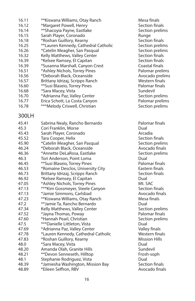| 16.11 | **Kiswana Williams, Otay Ranch       | Mesa finals     |
|-------|--------------------------------------|-----------------|
| 16.12 | *Margaret Powell, Henry              | Section finals  |
| 16.14 | **Shacoyia Payne, Eastlake           | Section prelims |
| 16.15 | Sarah Player, Coronado               | Runge           |
| 16.18 | *Roshan Guillory, Kearny             | Section finals  |
| 16.25 | **Lauren Kennedy, Cathedral Catholic | Section prelims |
| 16.26 | *Catelin Meagher, San Pasqual        | Section prelims |
| 16.32 | Kelly Matthews, Valley Center        | Section finals  |
| 16.39 | *Kelsee Ramsey, El Capitan           | Section finals  |
| 16.39 | *Susanna Marshall, Canyon Crest      | Coastal finals  |
| 16.51 | *Ashley Nichols, Torrey Pines        | Palomar prelims |
| 16.56 | *Deborah Black, Oceanside            | Avocado prelim  |
| 16.57 | Brittany Idrizaj, Scripps Ranch      | Western finals  |
| 16.60 | **Susi Blaseio, Torrey Pines         | Palomar finals  |
| 16.68 | *Sara Macey, Vista                   | Sundevil        |
| 16.70 | *Adrianna Paz, Valley Center         | Section prelims |
| 16.77 | Erica Schott, La Costa Canyon        | Palomar prelims |
| 16.78 | ***Melody Criswell, Christian        | Section prelims |
|       |                                      |                 |

#### 300LH

| 45.41 | Sabrina Nealy, Rancho Bernardo      | Palomar    |
|-------|-------------------------------------|------------|
| 45.3  | Cori Franklin, Morse                | Dual       |
| 45.43 | Sarah Player, Coronado              | Arcadia    |
| 45.52 | Tara Cooper, Helix                  | Section f  |
| 45.90 | *Catelin Meagher, San Pasqual       | Section r  |
| 46.24 | *Deborah Black, Oceanside           | Avocado    |
| 46.36 | *Annette DeLaRosa, Eastlake         | Section p  |
| 46.3  | Tori Anderson, Point Loma           | Dual       |
| 46.45 | **Susi Blaseio, Torrey Pines        | Palomar    |
| 46.53 | *Romaine Desclos, University City   | Eastern f  |
| 46.73 | Brittany Idrizaj, Scripps Ranch     | Section f  |
| 46.92 | *Kelsee Ramsey, El Capitan          | Dual       |
| 47.05 | *Ashley Nichols, Torrey Pines       | Mt. SAC    |
| 47.13 | *** Kim Gossmeyer, Steele Canyon    | Section f  |
| 47.13 | *Jamie Simmons, Carlsbad            | Avocado    |
| 47.23 | **Kiswana Williams, Otay Ranch      | Mesa fin   |
| 47.2  | **Jamie Ta, Rancho Bernardo         | Dual       |
| 47.34 | Kelly Matthews, Valley Center       | Section p  |
| 47.52 | *Jayna Thomas, Poway                | Palomar    |
| 47.60 | *Hannah Pearl, Christian            | Section p  |
| 47.5  | ***Danielle Littleton, Vista        | Dual       |
| 47.69 | *Adrianna Paz, Valley Center        | Valley fir |
| 47.78 | *Lauren Kennedy, Cathedral Catholic | Western    |
| 47.83 | *Roshan Guillory, Kearny            | Mission I  |
| 48.0  | *Sara Macey, Vista                  | Dual       |
| 48.20 | Amanda Olah, Granite Hills          | Sundevil   |
| 48.21 | **Devon Senneseth, Hilltop          | Frosh-so   |
| 48.1  | Stephanie Rodriguez, Vista          | Dual       |
| 48.39 | *Jamiesha Washington, Mission Bay   | Section f  |
| 48.89 | *Eileen Seffron, RBV                | Avocado    |

Mesa finals Section finals Section prelims Section finals 16.25 \*\* Lauren Catholic Section prelims Section prelims Section finals Section finals Coastal finals Palomar prelims Avocado prelims Western finals Palomar finals Section prelims Palomar prelims

> Palomar finals Section finals Section prelims Avocado finals Section prelims Palomar finals Eastern finals Section finals<br>Dual Section finals Avocado finals Mesa finals Section prelims Palomar finals Section prelims<br>Dual Valley finals Western finals Mission Hills<br>Dual Frosh-soph<br>Dual Section finals Avocado finals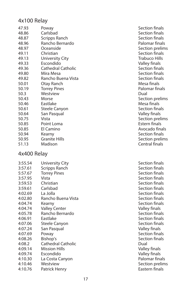#### 4x100 Relay

| 47.93 | Poway                     | Section fina  |
|-------|---------------------------|---------------|
| 48.86 | Carlsbad                  | Section fina  |
| 48.87 | Scripps Ranch             | Section fina  |
| 48.96 | Rancho Bernardo           | Palomar fin   |
| 48.97 | Oceanside                 | Section pre   |
| 49.11 | Christian                 | Section fina  |
| 49.13 | University City           | Trabuco Hil   |
| 49.33 | Escondido                 | Valley final: |
| 49.36 | <b>Cathedral Catholic</b> | Section fina  |
| 49.80 | Mira Mesa                 | Section fina  |
| 49.82 | Rancho Buena Vista        | Section fina  |
| 50.01 | Otay Ranch                | Mesa finals   |
| 50.19 | <b>Torrey Pines</b>       | Palomar fin   |
| 50.3  | Westview                  | Dual          |
| 50.43 | Morse                     | Section pre   |
| 50.46 | Eastlake                  | Mesa finals   |
| 50.61 | Steele Canyon             | Section fina  |
| 50.64 | San Pasqual               | Valley final: |
| 50.75 | Vista                     | Section pre   |
| 50.85 | Point Loma                | Estern final  |
| 50.85 | El Camino                 | Avocado fii   |
| 50.94 | Kearny                    | Section fina  |
| 50.95 | <b>Granite Hills</b>      | Section pre   |
| 51.13 | Madison                   | Central fina  |

#### 4x400 Relay

| 3:55.54 | University City      | Secti        |
|---------|----------------------|--------------|
| 3:57.61 | Scripps Ranch        | Secti        |
| 5:57.67 | <b>Torrey Pines</b>  | Secti        |
| 3:57.95 | Vista                | Secti        |
| 3:59.53 | Christian            | Secti        |
| 3:59.61 | Carlsbad             | Secti        |
| 4:02.69 | La Jolla             | Secti        |
| 4:02.80 | Rancho Buena Vista   | Secti        |
| 4:04.74 | Kearny               | Secti        |
| 4:04.74 | <b>Valley Center</b> | Valle        |
| 4:05.78 | Rancho Bernardo      | Secti        |
| 4:06.91 | Eastlake             | Secti        |
| 4:07.06 | Steele Canyon        | Secti        |
| 4:07.24 | San Pasqual          | Valle        |
| 4:07.69 | Poway                | Secti        |
| 4:08.26 | Bishop's             | Secti        |
| 4:08.2  | Cathedral Catholic   | Dual         |
| 4:09.14 | <b>Mission Hills</b> | Valle        |
| 4:09.74 | Escondido            | Valle        |
| 4:10.30 | La Costa Canyon      | Palor        |
| 4:10.46 | Westview             | Secti        |
| 4:10.76 | Patrick Henry        | <b>Easte</b> |

Section finals Section finals Section finals Palomar finals Section prelims Section finals Trabuco Hills Valley finals **49.36 Catholic Section finals** Section finals 49.82 Rancho Buena Vista Section finals Mesa finals Palomar finals<br>Dual Section prelims<br>Mesa finals Section finals Valley finals Section prelims Estern finals Avocado finals Section finals Section prelims **Central finals** 

Section finals Section finals Section finals Section finals Section finals Section finals Section finals a and the Buena Vista Section finals Section finals Valley finals Section finals Section finals Section finals Valley finals Section finals Section finals Valley finals Valley finals Palomar finals Section prelims Eastern finals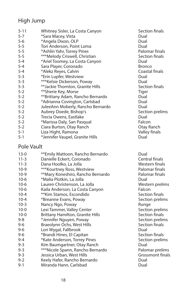#### High Jump

| $5 - 11$ | Whitney Sisler, La Costa Canyon   | Sectior       |
|----------|-----------------------------------|---------------|
| $5 - 7$  | *Sara Macey, Vista                | Dual          |
| $5-6$    | *Angela Dixon, OLP                | Dual          |
| $5 - 5$  | Tori Anderson, Point Loma         | Dual          |
| $5 - 5$  | *Ashlin Yahr, Torrey Pines        | Paloma        |
| $5 - 5$  | ***Melody Criswell, Christian     | Sectior       |
| $5 - 4$  | *Ariel Toomey, La Costa Canyon    | Dual          |
| $5 - 4$  | Sara Player, Coronado             | <b>Bronco</b> |
| $5 - 4$  | *Alekz Reyes, Calvin              | Coastal       |
| $5 - 3$  | *Erin Lupfer, Westview            | Dual          |
| $5 - 3$  | ***Kelsie Dickerson, Poway        | Dual          |
| $5 - 3$  | **Jackie Thornton, Granite Hills  | Sectior       |
| $5 - 2$  | **Sherie Key, Morse               | <b>Tiger</b>  |
| $5 - 2$  | **Brittany Adam, Rancho Bernardo  | Dual          |
| $5 - 2$  | *Adrianna Covington, Carlsbad     | Dual          |
| $5 - 2$  | JuleeAnn Moberly, Rancho Bernardo | Dual          |
| $5 - 2$  | Aubrey Doede, Bishop's            | Sectior       |
| $5 - 2$  | Trecia Owens, Eastlake            | Dual          |
| $5 - 2$  | *Marissa Daly, San Pasqual        | Falcon        |
| $5 - 2$  | Ciara Burton, Otay Ranch          | Otay Ra       |
| $5-1$    | Liza Hight, Ramona                | Valley f      |
| $5 - 1$  | *Jennifer Vaupel, Granite Hills   | Dual          |
|          |                                   |               |

#### Pole Vault

| $13-0$<br>$11 - 3$<br>$11 - 3$<br>$10-9$<br>$10-9$<br>$10-6$<br>$10-6$<br>$10-6$<br>$10 - 4$ | **Emily Mattoon, Rancho Bernardo<br>Danielle Eckert, Coronado<br>Dana Hoolko, La Jolla<br>***Kourtney Ross, Westview<br>**Mary Koneshiro, Rancho Bernardo<br>*Malia Plotkin, La Jolla<br>Lauren Christenson, La Jolla<br>Kaila Anderson, La Costa Canyon<br>**Kim Stamos, Escondido | Dual<br>Centra<br>Westei<br>Palom<br>Palom<br>Dual<br>Wester<br>Falcon<br>Sectio |
|----------------------------------------------------------------------------------------------|-------------------------------------------------------------------------------------------------------------------------------------------------------------------------------------------------------------------------------------------------------------------------------------|----------------------------------------------------------------------------------|
| $10 - 4$                                                                                     | *Breanne Evans, Poway                                                                                                                                                                                                                                                               | Sectio                                                                           |
| $10-3$                                                                                       | Nancy Ngo, Poway                                                                                                                                                                                                                                                                    | Runge                                                                            |
| $10-0$                                                                                       | Lexi Tammer, Valley Center                                                                                                                                                                                                                                                          | Sectio                                                                           |
| $10-0$                                                                                       | <b>Brittany Hamilton, Granite Hills</b>                                                                                                                                                                                                                                             | Sectio                                                                           |
| 9-8                                                                                          | *Jennifer Nguyen, Poway                                                                                                                                                                                                                                                             | Sectio                                                                           |
| $9 - 6$                                                                                      | Braeolynn Ochs, West Hills                                                                                                                                                                                                                                                          | Sectio                                                                           |
| $9 - 6$                                                                                      | Lori Wygal, Fallbrook                                                                                                                                                                                                                                                               | Dual                                                                             |
| 9-6                                                                                          | *Brandi Hines, El Capitan                                                                                                                                                                                                                                                           | Sectio                                                                           |
| $9 - 4$                                                                                      | *Kate Anderson, Torrey Pines                                                                                                                                                                                                                                                        | Sectio                                                                           |
| $9 - 3$                                                                                      | Kim Baumgartner, Otay Ranch                                                                                                                                                                                                                                                         | Dual                                                                             |
| $9 - 3$                                                                                      | ***Nicole Spann, Rancho Bernardo                                                                                                                                                                                                                                                    | Palom                                                                            |
| $9 - 3$                                                                                      | Jessica Urban, West Hills                                                                                                                                                                                                                                                           | Grossr                                                                           |
| $9 - 2$                                                                                      | Keely Hafer, Rancho Bernardo                                                                                                                                                                                                                                                        | Dual                                                                             |
| 9-1                                                                                          | Miranda Hann, Carlsbad                                                                                                                                                                                                                                                              | Dual                                                                             |
|                                                                                              |                                                                                                                                                                                                                                                                                     |                                                                                  |

Section finals<br>Dual Palomar finals Section finals Coastal finals Section finals Section prelims<br>Dual Otay Ranch Valley finals<br>Dual

Central finals Western finals Palomar finals Palomar finals<br>Dual Western prelims<br>Falcon Section finals Section prelims Section prelims Section finals Section prelims Section finals<br>Dual Section finals Section prelims<br>Dual Palomar prelims Grossmont finals<br>Dual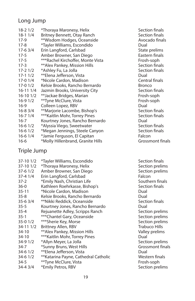#### Long Jump

| $18 - 21/2$  | *Thoraya Maronesy, Helix          | Sectior       |
|--------------|-----------------------------------|---------------|
| $18-11/4$    | Britney Bennett, Otay Ranch       | Sectior       |
| $17-9$       | **Wisdom Hodges, Oceanside        | Avocac        |
| $17 - 8$     | *Tayler Williams, Escondido       | Dual          |
| $17-63/4$    | Erin Langford, Carlsbad           | State p       |
| $17-5$       | Amber Browner, San Diego          | Eastern       |
| $17-5$       | ***Rachel Kirchoffer, Monte Vista | Frosh-s       |
| $17-3$       | **Alex Pankey, Mission Hills      | Sectior       |
| $17 - 21/2$  | *Ashley Fu, La Jolla              | Sectior       |
| $17 - 11/2$  | **Elena Jefferson, Vista          | Dual          |
| $17-0$ $1/4$ | *Nicole Cardon, Madison           | Central       |
| 17-0 1/2     | Kelsie Brooks, Rancho Bernardo    | <b>Bronco</b> |
| $16-111/4$   | Jazmin Brooks, University City    | Sectior       |
| $16-101/2$   | **Jackae Bridges, Marian          | Frosh-s       |
| 16-9 1/2     | **Tyne McClure, Vista             | Frosh-s       |
| $16-9$       | Colleen Lopez, RBV                | Dual          |
| $16 - 83/4$  | **Marjorie Lacombe, Bishop's      | Sectior       |
| $16 - 71/4$  | *** Kaitlin Mohr, Torrey Pines    | Sectior       |
| $16 - 7$     | Kourtney Jones, Rancho Bernardo   | Dual          |
| $16 - 61/2$  | *Alyssia Viego, Sweetwater        | Sectior       |
| $16 - 61/2$  | *Megan Jennings, Steele Canyon    | Sectior       |
| $16 - 61/4$  | *Jamie Ferguson, El Capitan       | Falcon        |
| $16-6$       | *Molly Hillenbrand, Granite Hills | Grossm        |
|              |                                   |               |

#### Triple Jump

| 37-10 1/2    | *Tayler Williams, Escondido          | Sectio |
|--------------|--------------------------------------|--------|
| 37-10 1/2    | *Thoraya Maronesy, Helix             | Sectio |
| 37-6 1/2     | Amber Browner, San Diego             | Sectio |
| $37 - 41/4$  | Erin Langford, Carlsbad              | Falcon |
| $37-2$       | *Emily Nash, Christian Life          | South  |
| $36-0$       | Kathleen Roehrkasse, Bishop's        | Sectio |
| $35 - 11$    | *Nicole Cardon, Madison              | Dual   |
| $35 - 8$     | Kelsie Brooks, Rancho Bernardo       | Dual   |
| $35-63/4$    | **Nikki Reddick, Oceanside           | Sectio |
| $35 - 5$     | Kourtney Jones, Rancho Bernardo      | Dual   |
| $35 - 4$     | Rejuanette Adley, Scripps Ranch      | Sectio |
| $35-1$       | ***Chantel Gary, Oceanside           | Sectio |
| $35-0$ $1/2$ | ***Sherie Key, Morse                 | Sectio |
| 34-11 1/2    | Brittney Allen, RBV                  | Trabuc |
| $34 - 10$    | **Alex Pankey, Mission Hills         | Valley |
| 34-10        | ***Kaitlin Mohr, Torrey Pines        | Dual   |
| 34-9 1/2     | *Allyn Meyer, La Jolla               | Sectio |
| 34-7         | *Sunny Bruns, West Hills             | Grossr |
| $34-61/2$    | **Elena Jefferson, Vista             | Dual   |
| $34-61/2$    | **Katarina Payne, Cathedral Catholic | Wester |
| $34-5$       | **Tyne McClure, Vista                | Frosh- |
| 34-4 3/4     | *Emily Petros, RBV                   | Sectio |
|              |                                      |        |

Section finals Section finals Avocado finals State prelims Eastern finals Frosh-soph Section finals Section finals Central finals Section finals Frosh-soph Frosh-soph Section finals Section finals Section finals Section finals Grossmont finals

Section finals Section prelims Section prelims<br>Falcon Southern finals Section finals<br>Dual Section finals<br>Dual Section prelims Section prelims Section prelims Trabuco Hills Valley prelims<br>Dual Section prelims Grossmont finals<br>Dual Western finals Frosh-soph Section prelims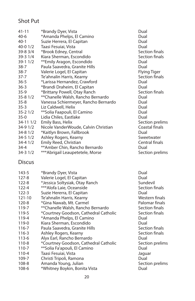#### Shot Put

| $41 - 11$   | *Brandy Dyer, Vista                  | Dual                |
|-------------|--------------------------------------|---------------------|
| $40-6$      | *Amanda Phelps, El Camino            | Dual                |
| $40-1$      | Suzie Herrera, El Capitan            | Dual                |
| 40-0 1/2    | Taasi Fesuiai, Vista                 | Dual                |
| 39-8 3/4    | *Brook Edney, Central                | Section finals      |
| 39-3 1/4    | Kiara Sherman, Escondido             | Section finals      |
| 39-1 1/2    | **Emily Aragon, Escondido            | Dual                |
| 38-7        | Paula Saavedra, Granite Hills        | Dual                |
| $38 - 7$    | Valerie Logel, El Capitan            | <b>Flying Tiger</b> |
| $37 - 7$    | Te'ahnalin Harris, Kearny            | Section finals      |
| $36 - 5$    | *Larissa Hernandez, Crawford         | Dual                |
| $36 - 3$    | *Brandi Draheim, El Capitan          | Dual                |
| $35-9$      | *Brittany Powell, Otay Ranch         | Section finals      |
| $35 - 81/2$ | **Chanelle Walsh, Rancho Bernardo    | Dual                |
| $35 - 8$    | Vanessa Schiermeyer, Rancho Bernardo | Dual                |
| $35 - 3$    | Liz Caldwell, Helix                  | Dual                |
| $35 - 21/2$ | **Solia Faapouli, El Camino          | Dual                |
| $35-0$      | Lidia Chiles, Eastlake               | Dual                |
| 34-11 1/2   | Emily Bass, Helix                    | Section prelims     |
| 34-9 1/2    | Nicole VanderWoude, Calvin Christian | Coastal finals      |
| 34-8 1/2    | *Kaitlyn Brown, Fallbrook            | Dual                |
| 34-5 1/2    | Ashley Rogers, Kearny                | Sweetwater          |
| 34-4 1/2    | Emily Reed, Christian                | Central finals      |
| $34 - 4$    | ** Amber Chin, Rancho Bernardo       | Dual                |
| 34-3 1/2    | *** Abrigail Leaupetetele, Morse     | Section prelims     |

#### **Discus**

| 143-5     | *Brandy Dyer, Vista                   | Dual      |
|-----------|---------------------------------------|-----------|
| $127 - 8$ | Valerie Logel, El Capitan             | Dual      |
| $122 - 8$ | *Jessica Soltysiak, Otay Ranch        | Sundevil  |
| $122 - 4$ | ***Alofa Laie, Oceanside              | Section f |
| $122 - 3$ | Suzie Hererra, El Capitan             | Dual      |
| 121-10    | Te'ahnalin Harris, Kearny             | Western   |
| $120 - 8$ | *Gina Nawab, Mt. Carmel               | Palomar   |
| 119-7     | **Chanelle Walsh, Rancho Bernardo     | Section f |
| 119-5     | *Courtney Goodson, Cathedral Catholic | Section f |
| 119-4     | *Amanda Phelps, El Camino             | Dual      |
| 119-0     | Kiara Sherman, Escondido              | Dual      |
| 116-7     | Paula Saavedra, Granite Hills         | Section f |
| 116-3     | Ashley Rogers, Kearny                 | Section f |
| 113-6     | Alyx Earl, Rancho Bernardo            | Dual      |
| 110-8     | *Courtney Goodson, Cathedral Catholic | Section p |
| 110-7     | **Solia Fa'apouli, El Camino          | Dual      |
| 110-4     | Taasi Fesuiai, Vista                  | Jaquar    |
| 109-7     | Christi Tripoli, Ramona               | Dual      |
| 108-8     | Amanda Young, Julian                  | Section p |
| 108-6     | *Whitney Boykin, Bonita Vista         | Dual      |
|           |                                       |           |

Section finals<br>Dual Western finals Palomar finals Section finals Section finals Section finals Section finals<br>Dual Section prelims<br>Dual Section prelims<br>Dual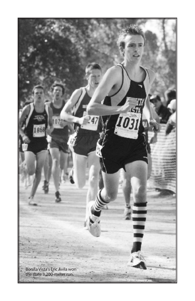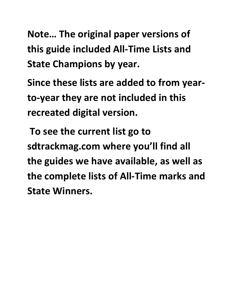**Note… The original paper versions of this guide included All-Time Lists and State Champions by year.** 

**Since these lists are added to from yearto-year they are not included in this recreated digital version.** 

 **To see the current list go to sdtrackmag.com where you'll find all the guides we have available, as well as the complete lists of All-Time marks and State Winners.**